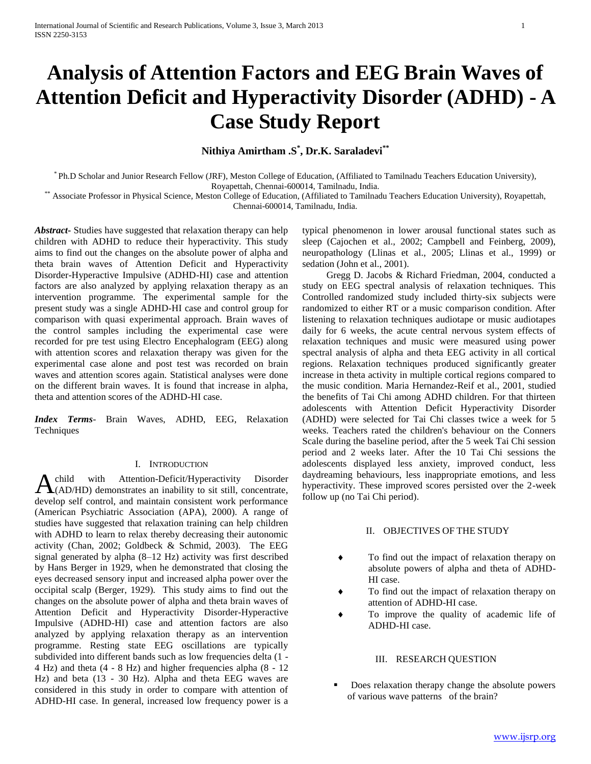# **Analysis of Attention Factors and EEG Brain Waves of Attention Deficit and Hyperactivity Disorder (ADHD) - A Case Study Report**

**Nithiya Amirtham .S\* , Dr.K. Saraladevi\*\***

\* Ph.D Scholar and Junior Research Fellow (JRF), Meston College of Education, (Affiliated to Tamilnadu Teachers Education University), Royapettah, Chennai-600014, Tamilnadu, India.

\*\* Associate Professor in Physical Science, Meston College of Education, (Affiliated to Tamilnadu Teachers Education University), Royapettah, Chennai-600014, Tamilnadu, India.

*Abstract***-** Studies have suggested that relaxation therapy can help children with ADHD to reduce their hyperactivity. This study aims to find out the changes on the absolute power of alpha and theta brain waves of Attention Deficit and Hyperactivity Disorder-Hyperactive Impulsive (ADHD-HI) case and attention factors are also analyzed by applying relaxation therapy as an intervention programme. The experimental sample for the present study was a single ADHD-HI case and control group for comparison with quasi experimental approach. Brain waves of the control samples including the experimental case were recorded for pre test using Electro Encephalogram (EEG) along with attention scores and relaxation therapy was given for the experimental case alone and post test was recorded on brain waves and attention scores again. Statistical analyses were done on the different brain waves. It is found that increase in alpha, theta and attention scores of the ADHD-HI case.

*Index Terms*- Brain Waves, ADHD, EEG, Relaxation Techniques

#### I. INTRODUCTION

child with Attention-Deficit/Hyperactivity Disorder Achild with Attention-Deficit/Hyperactivity Disorder (AD/HD) demonstrates an inability to sit still, concentrate, develop self control, and maintain consistent work performance (American Psychiatric Association (APA), 2000). A range of studies have suggested that relaxation training can help children with ADHD to learn to relax thereby decreasing their autonomic activity (Chan, 2002; Goldbeck & Schmid, 2003). The EEG signal generated by alpha (8–12 Hz) activity was first described by Hans Berger in 1929, when he demonstrated that closing the eyes decreased sensory input and increased alpha power over the occipital scalp (Berger, 1929). This study aims to find out the changes on the absolute power of alpha and theta brain waves of Attention Deficit and Hyperactivity Disorder-Hyperactive Impulsive (ADHD-HI) case and attention factors are also analyzed by applying relaxation therapy as an intervention programme. Resting state EEG oscillations are typically subdivided into different bands such as low frequencies delta (1 - 4 Hz) and theta (4 - 8 Hz) and higher frequencies alpha (8 - 12 Hz) and beta (13 - 30 Hz). Alpha and theta EEG waves are considered in this study in order to compare with attention of ADHD-HI case. In general, increased low frequency power is a

typical phenomenon in lower arousal functional states such as sleep (Cajochen et al., 2002; Campbell and Feinberg, 2009), neuropathology (Llinas et al., 2005; Llinas et al., 1999) or sedation (John et al., 2001).

Gregg D. Jacobs & Richard Friedman, 2004, conducted a study on EEG spectral analysis of relaxation techniques. This Controlled randomized study included thirty-six subjects were randomized to either RT or a music comparison condition. After listening to relaxation techniques audiotape or music audiotapes daily for 6 weeks, the acute central nervous system effects of relaxation techniques and music were measured using power spectral analysis of alpha and theta EEG activity in all cortical regions. Relaxation techniques produced significantly greater increase in theta activity in multiple cortical regions compared to the music condition. Maria Hernandez-Reif et al., 2001, studied the benefits of Tai Chi among ADHD children. For that thirteen adolescents with Attention Deficit Hyperactivity Disorder (ADHD) were selected for Tai Chi classes twice a week for 5 weeks. Teachers rated the children's behaviour on the Conners Scale during the baseline period, after the 5 week Tai Chi session period and 2 weeks later. After the 10 Tai Chi sessions the adolescents displayed less anxiety, improved conduct, less daydreaming behaviours, less inappropriate emotions, and less hyperactivity. These improved scores persisted over the 2-week follow up (no Tai Chi period).

## II. OBJECTIVES OF THE STUDY

- To find out the impact of relaxation therapy on absolute powers of alpha and theta of ADHD-HI case.
- To find out the impact of relaxation therapy on attention of ADHD-HI case.
- To improve the quality of academic life of ADHD-HI case.

## III. RESEARCH QUESTION

 Does relaxation therapy change the absolute powers of various wave patterns of the brain?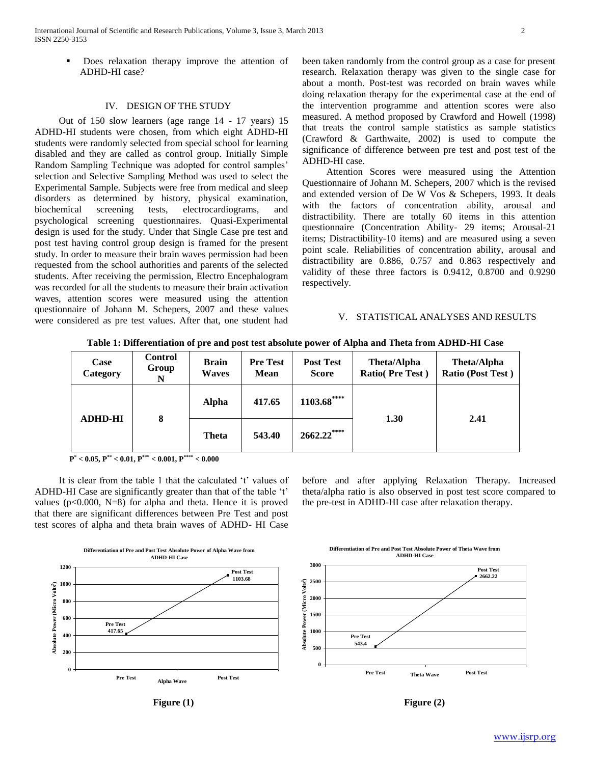Does relaxation therapy improve the attention of ADHD-HI case?

#### IV. DESIGN OF THE STUDY

Out of 150 slow learners (age range 14 - 17 years) 15 ADHD-HI students were chosen, from which eight ADHD-HI students were randomly selected from special school for learning disabled and they are called as control group. Initially Simple Random Sampling Technique was adopted for control samples' selection and Selective Sampling Method was used to select the Experimental Sample. Subjects were free from medical and sleep disorders as determined by history, physical examination, biochemical screening tests, electrocardiograms, and psychological screening questionnaires. Quasi-Experimental design is used for the study. Under that Single Case pre test and post test having control group design is framed for the present study. In order to measure their brain waves permission had been requested from the school authorities and parents of the selected students. After receiving the permission, Electro Encephalogram was recorded for all the students to measure their brain activation waves, attention scores were measured using the attention questionnaire of Johann M. Schepers, 2007 and these values were considered as pre test values. After that, one student had

been taken randomly from the control group as a case for present research. Relaxation therapy was given to the single case for about a month. Post-test was recorded on brain waves while doing relaxation therapy for the experimental case at the end of the intervention programme and attention scores were also measured. A method proposed by Crawford and Howell (1998) that treats the control sample statistics as sample statistics (Crawford & Garthwaite, 2002) is used to compute the significance of difference between pre test and post test of the ADHD-HI case.

Attention Scores were measured using the Attention Questionnaire of Johann M. Schepers, 2007 which is the revised and extended version of De W Vos & Schepers, 1993. It deals with the factors of concentration ability, arousal and distractibility. There are totally 60 items in this attention questionnaire (Concentration Ability- 29 items; Arousal-21 items; Distractibility-10 items) and are measured using a seven point scale. Reliabilities of concentration ability, arousal and distractibility are 0.886, 0.757 and 0.863 respectively and validity of these three factors is 0.9412, 0.8700 and 0.9290 respectively.

#### V. STATISTICAL ANALYSES AND RESULTS

| Case<br>Category | <b>Control</b><br>Group<br>N | <b>Brain</b><br><b>Waves</b> | <b>Pre Test</b><br><b>Mean</b> | <b>Post Test</b><br><b>Score</b> | <b>Theta/Alpha</b><br><b>Ratio(Pre Test)</b> | Theta/Alpha<br><b>Ratio (Post Test)</b> |
|------------------|------------------------------|------------------------------|--------------------------------|----------------------------------|----------------------------------------------|-----------------------------------------|
| <b>ADHD-HI</b>   | 8                            | <b>Alpha</b>                 | 417.65                         | $1103.68$ ****                   |                                              |                                         |
|                  |                              | <b>Theta</b>                 | 543.40                         | $2662.22***$                     | 1.30                                         | 2.41                                    |

**Table 1: Differentiation of pre and post test absolute power of Alpha and Theta from ADHD-HI Case**

**P \* < 0.05, P\*\* < 0.01, P\*\*\* < 0.001, P\*\*\*\* < 0.000**

It is clear from the table 1 that the calculated 't' values of ADHD-HI Case are significantly greater than that of the table 't' values ( $p<0.000$ , N=8) for alpha and theta. Hence it is proved that there are significant differences between Pre Test and post test scores of alpha and theta brain waves of ADHD- HI Case before and after applying Relaxation Therapy. Increased theta/alpha ratio is also observed in post test score compared to the pre-test in ADHD-HI case after relaxation therapy.



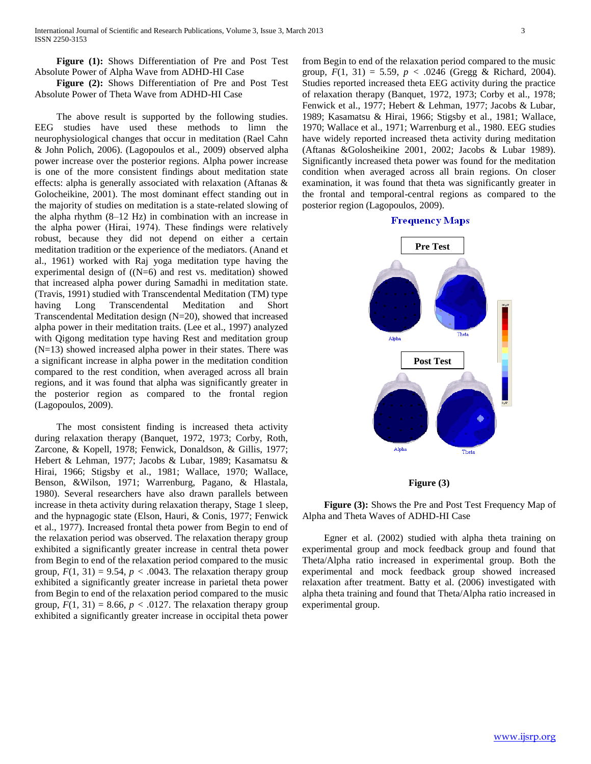**Figure (1):** Shows Differentiation of Pre and Post Test Absolute Power of Alpha Wave from ADHD-HI Case

 **Figure (2):** Shows Differentiation of Pre and Post Test Absolute Power of Theta Wave from ADHD-HI Case

The above result is supported by the following studies. EEG studies have used these methods to limn the neurophysiological changes that occur in meditation (Rael Cahn & John Polich, 2006). (Lagopoulos et al., 2009) observed alpha power increase over the posterior regions. Alpha power increase is one of the more consistent findings about meditation state effects: alpha is generally associated with relaxation (Aftanas & Golocheikine, 2001). The most dominant effect standing out in the majority of studies on meditation is a state-related slowing of the alpha rhythm (8–12 Hz) in combination with an increase in the alpha power (Hirai, 1974). These findings were relatively robust, because they did not depend on either a certain meditation tradition or the experience of the mediators. (Anand et al., 1961) worked with Raj yoga meditation type having the experimental design of  $(N=6)$  and rest vs. meditation) showed that increased alpha power during Samadhi in meditation state. (Travis, 1991) studied with Transcendental Meditation (TM) type having Long Transcendental Meditation and Short Transcendental Meditation design (N=20), showed that increased alpha power in their meditation traits. (Lee et al., 1997) analyzed with Qigong meditation type having Rest and meditation group (N=13) showed increased alpha power in their states. There was a significant increase in alpha power in the meditation condition compared to the rest condition, when averaged across all brain regions, and it was found that alpha was significantly greater in the posterior region as compared to the frontal region (Lagopoulos, 2009).

The most consistent finding is increased theta activity during relaxation therapy (Banquet, 1972, 1973; Corby, Roth, Zarcone, & Kopell, 1978; Fenwick, Donaldson, & Gillis, 1977; Hebert & Lehman, 1977; Jacobs & Lubar, 1989; Kasamatsu & Hirai, 1966; Stigsby et al., 1981; Wallace, 1970; Wallace, Benson, &Wilson, 1971; Warrenburg, Pagano, & Hlastala, 1980). Several researchers have also drawn parallels between increase in theta activity during relaxation therapy, Stage 1 sleep, and the hypnagogic state (Elson, Hauri, & Conis, 1977; Fenwick et al., 1977). Increased frontal theta power from Begin to end of the relaxation period was observed. The relaxation therapy group exhibited a significantly greater increase in central theta power from Begin to end of the relaxation period compared to the music group,  $F(1, 31) = 9.54$ ,  $p < .0043$ . The relaxation therapy group exhibited a significantly greater increase in parietal theta power from Begin to end of the relaxation period compared to the music group,  $F(1, 31) = 8.66$ ,  $p < .0127$ . The relaxation therapy group exhibited a significantly greater increase in occipital theta power

from Begin to end of the relaxation period compared to the music group,  $F(1, 31) = 5.59$ ,  $p < .0246$  (Gregg & Richard, 2004). Studies reported increased theta EEG activity during the practice of relaxation therapy (Banquet, 1972, 1973; Corby et al., 1978; Fenwick et al., 1977; Hebert & Lehman, 1977; Jacobs & Lubar, 1989; Kasamatsu & Hirai, 1966; Stigsby et al., 1981; Wallace, 1970; Wallace et al., 1971; Warrenburg et al., 1980. EEG studies have widely reported increased theta activity during meditation (Aftanas &Golosheikine 2001, 2002; Jacobs & Lubar 1989). Significantly increased theta power was found for the meditation condition when averaged across all brain regions. On closer examination, it was found that theta was significantly greater in the frontal and temporal-central regions as compared to the posterior region (Lagopoulos, 2009).

#### **Frequency Maps**



#### **Figure (3)**

 **Figure (3):** Shows the Pre and Post Test Frequency Map of Alpha and Theta Waves of ADHD-HI Case

Egner et al. (2002) studied with alpha theta training on experimental group and mock feedback group and found that Theta/Alpha ratio increased in experimental group. Both the experimental and mock feedback group showed increased relaxation after treatment. Batty et al. (2006) investigated with alpha theta training and found that Theta/Alpha ratio increased in experimental group.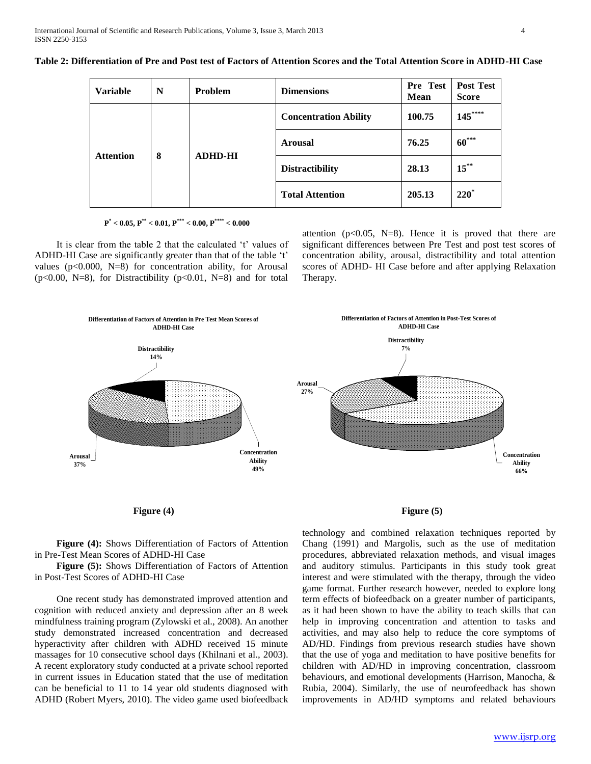| <b>Variable</b>  | N | Problem        | <b>Dimensions</b>            | Pre Test<br><b>Mean</b> | <b>Post Test</b><br><b>Score</b> |
|------------------|---|----------------|------------------------------|-------------------------|----------------------------------|
| <b>Attention</b> | 8 | <b>ADHD-HI</b> | <b>Concentration Ability</b> | 100.75                  | $145***$                         |
|                  |   |                | <b>Arousal</b>               | 76.25                   | $60***$                          |
|                  |   |                | <b>Distractibility</b>       | 28.13                   | $15$ <sup>**</sup>               |
|                  |   |                | <b>Total Attention</b>       | 205.13                  | $220^*$                          |

**Table 2: Differentiation of Pre and Post test of Factors of Attention Scores and the Total Attention Score in ADHD-HI Case**

**P \* < 0.05, P\*\* < 0.01, P\*\*\* < 0.00, P\*\*\*\* < 0.000**

It is clear from the table 2 that the calculated 't' values of ADHD-HI Case are significantly greater than that of the table 't' values ( $p<0.000$ , N=8) for concentration ability, for Arousal  $(p<0.00, N=8)$ , for Distractibility  $(p<0.01, N=8)$  and for total

attention ( $p<0.05$ , N=8). Hence it is proved that there are significant differences between Pre Test and post test scores of concentration ability, arousal, distractibility and total attention scores of ADHD- HI Case before and after applying Relaxation Therapy.



Figure (4) Figure (5)

**Figure (4):** Shows Differentiation of Factors of Attention in Pre-Test Mean Scores of ADHD-HI Case

 **Figure (5):** Shows Differentiation of Factors of Attention in Post-Test Scores of ADHD-HI Case

One recent study has demonstrated improved attention and cognition with reduced anxiety and depression after an 8 week mindfulness training program (Zylowski et al., 2008). An another study demonstrated increased concentration and decreased hyperactivity after children with ADHD received 15 minute massages for 10 consecutive school days (Khilnani et al., 2003). A recent exploratory study conducted at a private school reported in current issues in Education stated that the use of meditation can be beneficial to 11 to 14 year old students diagnosed with ADHD (Robert Myers, 2010). The video game used biofeedback

technology and combined relaxation techniques reported by Chang (1991) and Margolis, such as the use of meditation procedures, abbreviated relaxation methods, and visual images and auditory stimulus. Participants in this study took great interest and were stimulated with the therapy, through the video game format. Further research however, needed to explore long term effects of biofeedback on a greater number of participants, as it had been shown to have the ability to teach skills that can help in improving concentration and attention to tasks and activities, and may also help to reduce the core symptoms of AD/HD. Findings from previous research studies have shown that the use of yoga and meditation to have positive benefits for children with AD/HD in improving concentration, classroom behaviours, and emotional developments (Harrison, Manocha, & Rubia, 2004). Similarly, the use of neurofeedback has shown improvements in AD/HD symptoms and related behaviours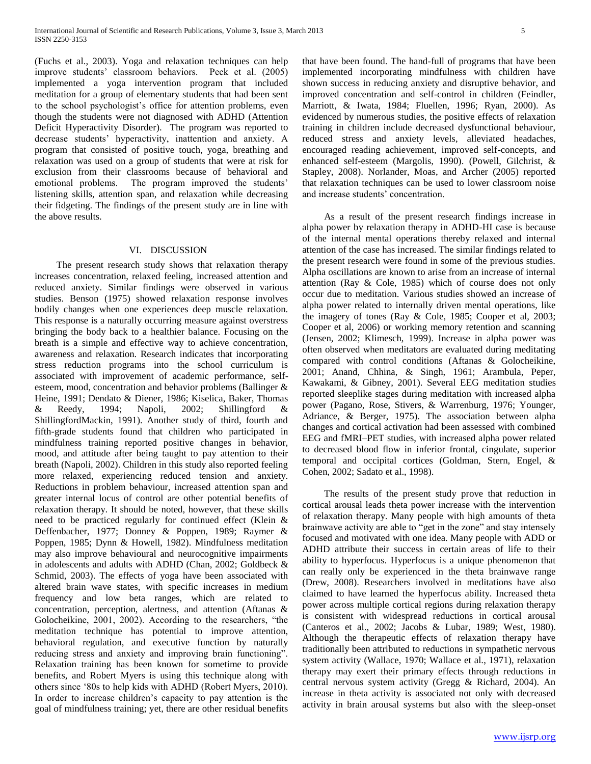(Fuchs et al., 2003). Yoga and relaxation techniques can help improve students' classroom behaviors. Peck et al. (2005) implemented a yoga intervention program that included meditation for a group of elementary students that had been sent to the school psychologist's office for attention problems, even though the students were not diagnosed with ADHD (Attention Deficit Hyperactivity Disorder). The program was reported to decrease students' hyperactivity, inattention and anxiety. A program that consisted of positive touch, yoga, breathing and relaxation was used on a group of students that were at risk for exclusion from their classrooms because of behavioral and emotional problems. The program improved the students' listening skills, attention span, and relaxation while decreasing their fidgeting. The findings of the present study are in line with the above results.

## VI. DISCUSSION

The present research study shows that relaxation therapy increases concentration, relaxed feeling, increased attention and reduced anxiety. Similar findings were observed in various studies. Benson (1975) showed relaxation response involves bodily changes when one experiences deep muscle relaxation. This response is a naturally occurring measure against overstress bringing the body back to a healthier balance. Focusing on the breath is a simple and effective way to achieve concentration, awareness and relaxation. Research indicates that incorporating stress reduction programs into the school curriculum is associated with improvement of academic performance, selfesteem, mood, concentration and behavior problems (Ballinger & Heine, 1991; Dendato & Diener, 1986; Kiselica, Baker, Thomas & Reedy, 1994; Napoli, 2002; Shillingford & ShillingfordMackin, 1991). Another study of third, fourth and fifth-grade students found that children who participated in mindfulness training reported positive changes in behavior, mood, and attitude after being taught to pay attention to their breath (Napoli, 2002). Children in this study also reported feeling more relaxed, experiencing reduced tension and anxiety. Reductions in problem behaviour, increased attention span and greater internal locus of control are other potential benefits of relaxation therapy. It should be noted, however, that these skills need to be practiced regularly for continued effect (Klein & Deffenbacher, 1977; Donney & Poppen, 1989; Raymer & Poppen, 1985; Dynn & Howell, 1982). Mindfulness meditation may also improve behavioural and neurocognitive impairments in adolescents and adults with ADHD (Chan, 2002; Goldbeck & Schmid, 2003). The effects of yoga have been associated with altered brain wave states, with specific increases in medium frequency and low beta ranges, which are related to concentration, perception, alertness, and attention (Aftanas & Golocheikine, 2001, 2002). According to the researchers, "the meditation technique has potential to improve attention, behavioral regulation, and executive function by naturally reducing stress and anxiety and improving brain functioning". Relaxation training has been known for sometime to provide benefits, and Robert Myers is using this technique along with others since '80s to help kids with ADHD (Robert Myers, 2010). In order to increase children's capacity to pay attention is the goal of mindfulness training; yet, there are other residual benefits

that have been found. The hand-full of programs that have been implemented incorporating mindfulness with children have shown success in reducing anxiety and disruptive behavior, and improved concentration and self-control in children (Feindler, Marriott, & Iwata, 1984; Fluellen, 1996; Ryan, 2000). As evidenced by numerous studies, the positive effects of relaxation training in children include decreased dysfunctional behaviour, reduced stress and anxiety levels, alleviated headaches, encouraged reading achievement, improved self-concepts, and enhanced self-esteem (Margolis, 1990). (Powell, Gilchrist, & Stapley, 2008). Norlander, Moas, and Archer (2005) reported that relaxation techniques can be used to lower classroom noise and increase students' concentration.

As a result of the present research findings increase in alpha power by relaxation therapy in ADHD-HI case is because of the internal mental operations thereby relaxed and internal attention of the case has increased. The similar findings related to the present research were found in some of the previous studies. Alpha oscillations are known to arise from an increase of internal attention (Ray & Cole, 1985) which of course does not only occur due to meditation. Various studies showed an increase of alpha power related to internally driven mental operations, like the imagery of tones (Ray & Cole, 1985; Cooper et al, 2003; Cooper et al, 2006) or working memory retention and scanning (Jensen, 2002; Klimesch, 1999). Increase in alpha power was often observed when meditators are evaluated during meditating compared with control conditions (Aftanas & Golocheikine, 2001; Anand, Chhina, & Singh, 1961; Arambula, Peper, Kawakami, & Gibney, 2001). Several EEG meditation studies reported sleeplike stages during meditation with increased alpha power (Pagano, Rose, Stivers, & Warrenburg, 1976; Younger, Adriance, & Berger, 1975). The association between alpha changes and cortical activation had been assessed with combined EEG and fMRI–PET studies, with increased alpha power related to decreased blood flow in inferior frontal, cingulate, superior temporal and occipital cortices (Goldman, Stern, Engel, & Cohen, 2002; Sadato et al., 1998).

The results of the present study prove that reduction in cortical arousal leads theta power increase with the intervention of relaxation therapy. Many people with high amounts of theta brainwave activity are able to "get in the zone" and stay intensely focused and motivated with one idea. Many people with ADD or ADHD attribute their success in certain areas of life to their ability to hyperfocus. Hyperfocus is a unique phenomenon that can really only be experienced in the theta brainwave range (Drew, 2008). Researchers involved in meditations have also claimed to have learned the hyperfocus ability. Increased theta power across multiple cortical regions during relaxation therapy is consistent with widespread reductions in cortical arousal (Canteros et al., 2002; Jacobs & Lubar, 1989; West, 1980). Although the therapeutic effects of relaxation therapy have traditionally been attributed to reductions in sympathetic nervous system activity (Wallace, 1970; Wallace et al., 1971), relaxation therapy may exert their primary effects through reductions in central nervous system activity (Gregg & Richard, 2004). An increase in theta activity is associated not only with decreased activity in brain arousal systems but also with the sleep-onset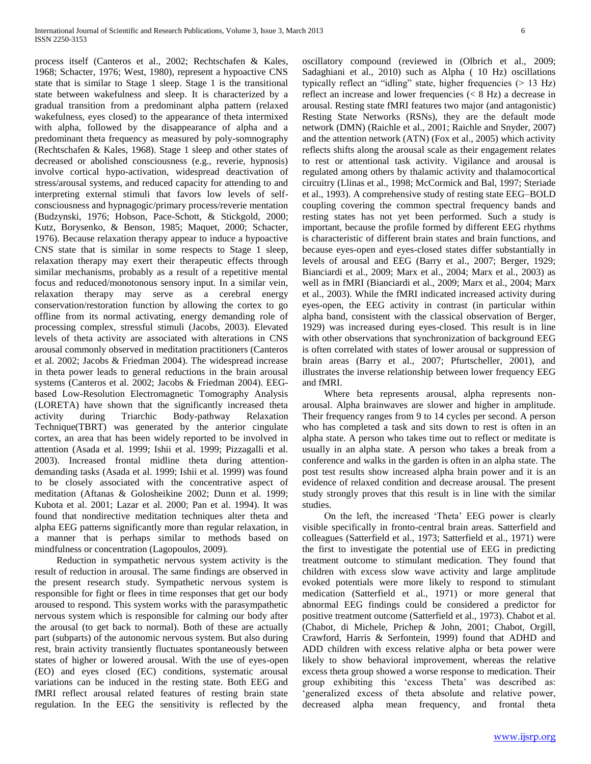process itself (Canteros et al., 2002; Rechtschafen & Kales, 1968; Schacter, 1976; West, 1980), represent a hypoactive CNS state that is similar to Stage 1 sleep. Stage 1 is the transitional state between wakefulness and sleep. It is characterized by a gradual transition from a predominant alpha pattern (relaxed wakefulness, eyes closed) to the appearance of theta intermixed with alpha, followed by the disappearance of alpha and a predominant theta frequency as measured by poly-somnography (Rechtschafen & Kales, 1968). Stage 1 sleep and other states of decreased or abolished consciousness (e.g., reverie, hypnosis) involve cortical hypo-activation, widespread deactivation of stress/arousal systems, and reduced capacity for attending to and interpreting external stimuli that favors low levels of selfconsciousness and hypnagogic/primary process/reverie mentation (Budzynski, 1976; Hobson, Pace-Schott, & Stickgold, 2000; Kutz, Borysenko, & Benson, 1985; Maquet, 2000; Schacter, 1976). Because relaxation therapy appear to induce a hypoactive CNS state that is similar in some respects to Stage 1 sleep, relaxation therapy may exert their therapeutic effects through similar mechanisms, probably as a result of a repetitive mental focus and reduced/monotonous sensory input. In a similar vein, relaxation therapy may serve as a cerebral energy conservation/restoration function by allowing the cortex to go offline from its normal activating, energy demanding role of processing complex, stressful stimuli (Jacobs, 2003). Elevated levels of theta activity are associated with alterations in CNS arousal commonly observed in meditation practitioners (Canteros et al. 2002; Jacobs & Friedman 2004). The widespread increase in theta power leads to general reductions in the brain arousal systems (Canteros et al. 2002; Jacobs & Friedman 2004). EEGbased Low-Resolution Electromagnetic Tomography Analysis (LORETA) have shown that the significantly increased theta activity during Triarchic Body-pathway Relaxation Technique(TBRT) was generated by the anterior cingulate cortex, an area that has been widely reported to be involved in attention (Asada et al. 1999; Ishii et al. 1999; Pizzagalli et al. 2003). Increased frontal midline theta during attentiondemanding tasks (Asada et al. 1999; Ishii et al. 1999) was found to be closely associated with the concentrative aspect of meditation (Aftanas & Golosheikine 2002; Dunn et al. 1999; Kubota et al. 2001; Lazar et al. 2000; Pan et al. 1994). It was found that nondirective meditation techniques alter theta and alpha EEG patterns significantly more than regular relaxation, in a manner that is perhaps similar to methods based on mindfulness or concentration (Lagopoulos, 2009).

Reduction in sympathetic nervous system activity is the result of reduction in arousal. The same findings are observed in the present research study. Sympathetic nervous system is responsible for fight or flees in time responses that get our body aroused to respond. This system works with the parasympathetic nervous system which is responsible for calming our body after the arousal (to get back to normal). Both of these are actually part (subparts) of the autonomic nervous system. But also during rest, brain activity transiently fluctuates spontaneously between states of higher or lowered arousal. With the use of eyes-open (EO) and eyes closed (EC) conditions, systematic arousal variations can be induced in the resting state. Both EEG and fMRI reflect arousal related features of resting brain state regulation. In the EEG the sensitivity is reflected by the

oscillatory compound (reviewed in (Olbrich et al., 2009; Sadaghiani et al., 2010) such as Alpha ( 10 Hz) oscillations typically reflect an "idling" state, higher frequencies  $(> 13 \text{ Hz})$ reflect an increase and lower frequencies (< 8 Hz) a decrease in arousal. Resting state fMRI features two major (and antagonistic) Resting State Networks (RSNs), they are the default mode network (DMN) (Raichle et al., 2001; Raichle and Snyder, 2007) and the attention network (ATN) (Fox et al., 2005) which activity reflects shifts along the arousal scale as their engagement relates to rest or attentional task activity. Vigilance and arousal is regulated among others by thalamic activity and thalamocortical circuitry (Llinas et al., 1998; McCormick and Bal, 1997; Steriade et al., 1993). A comprehensive study of resting state EEG–BOLD coupling covering the common spectral frequency bands and resting states has not yet been performed. Such a study is important, because the profile formed by different EEG rhythms is characteristic of different brain states and brain functions, and because eyes-open and eyes-closed states differ substantially in levels of arousal and EEG (Barry et al., 2007; Berger, 1929; Bianciardi et al., 2009; Marx et al., 2004; Marx et al., 2003) as well as in fMRI (Bianciardi et al., 2009; Marx et al., 2004; Marx et al., 2003). While the fMRI indicated increased activity during eyes-open, the EEG activity in contrast (in particular within alpha band, consistent with the classical observation of Berger, 1929) was increased during eyes-closed. This result is in line with other observations that synchronization of background EEG is often correlated with states of lower arousal or suppression of brain areas (Barry et al., 2007; Pfurtscheller, 2001), and illustrates the inverse relationship between lower frequency EEG and fMRI.

Where beta represents arousal, alpha represents nonarousal. Alpha brainwaves are slower and higher in amplitude. Their frequency ranges from 9 to 14 cycles per second. A person who has completed a task and sits down to rest is often in an alpha state. A person who takes time out to reflect or meditate is usually in an alpha state. A person who takes a break from a conference and walks in the garden is often in an alpha state. The post test results show increased alpha brain power and it is an evidence of relaxed condition and decrease arousal. The present study strongly proves that this result is in line with the similar studies.

On the left, the increased 'Theta' EEG power is clearly visible specifically in fronto-central brain areas. Satterfield and colleagues (Satterfield et al., 1973; Satterfield et al., 1971) were the first to investigate the potential use of EEG in predicting treatment outcome to stimulant medication. They found that children with excess slow wave activity and large amplitude evoked potentials were more likely to respond to stimulant medication (Satterfield et al., 1971) or more general that abnormal EEG findings could be considered a predictor for positive treatment outcome (Satterfield et al., 1973). Chabot et al. (Chabot, di Michele, Prichep & John, 2001; Chabot, Orgill, Crawford, Harris & Serfontein, 1999) found that ADHD and ADD children with excess relative alpha or beta power were likely to show behavioral improvement, whereas the relative excess theta group showed a worse response to medication. Their group exhibiting this 'excess Theta' was described as: 'generalized excess of theta absolute and relative power, decreased alpha mean frequency, and frontal theta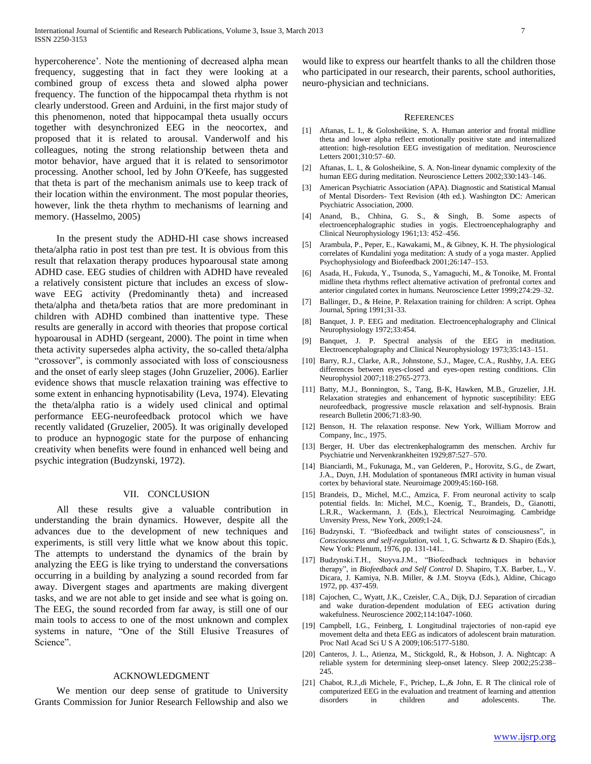hypercoherence'. Note the mentioning of decreased alpha mean frequency, suggesting that in fact they were looking at a combined group of excess theta and slowed alpha power frequency. The function of the hippocampal theta rhythm is not clearly understood. Green and Arduini, in the first major study of this phenomenon, noted that hippocampal theta usually occurs together with desynchronized EEG in the neocortex, and proposed that it is related to arousal. Vanderwolf and his colleagues, noting the strong relationship between theta and motor behavior, have argued that it is related to sensorimotor processing. Another school, led by John O'Keefe, has suggested that theta is part of the mechanism animals use to keep track of their location within the environment. The most popular theories, however, link the theta rhythm to mechanisms of learning and memory. (Hasselmo, 2005)

In the present study the ADHD-HI case shows increased theta/alpha ratio in post test than pre test. It is obvious from this result that relaxation therapy produces hypoarousal state among ADHD case. EEG studies of children with ADHD have revealed a relatively consistent picture that includes an excess of slowwave EEG activity (Predominantly theta) and increased theta/alpha and theta/beta ratios that are more predominant in children with ADHD combined than inattentive type. These results are generally in accord with theories that propose cortical hypoarousal in ADHD (sergeant, 2000). The point in time when theta activity supersedes alpha activity, the so-called theta/alpha "crossover", is commonly associated with loss of consciousness and the onset of early sleep stages (John Gruzelier, 2006). Earlier evidence shows that muscle relaxation training was effective to some extent in enhancing hypnotisability (Leva, 1974). Elevating the theta/alpha ratio is a widely used clinical and optimal performance EEG-neurofeedback protocol which we have recently validated (Gruzelier, 2005). It was originally developed to produce an hypnogogic state for the purpose of enhancing creativity when benefits were found in enhanced well being and psychic integration (Budzynski, 1972).

#### VII. CONCLUSION

All these results give a valuable contribution in understanding the brain dynamics. However, despite all the advances due to the development of new techniques and experiments, is still very little what we know about this topic. The attempts to understand the dynamics of the brain by analyzing the EEG is like trying to understand the conversations occurring in a building by analyzing a sound recorded from far away. Divergent stages and apartments are making divergent tasks, and we are not able to get inside and see what is going on. The EEG, the sound recorded from far away, is still one of our main tools to access to one of the most unknown and complex systems in nature, "One of the Still Elusive Treasures of Science".

#### ACKNOWLEDGMENT

We mention our deep sense of gratitude to University Grants Commission for Junior Research Fellowship and also we

would like to express our heartfelt thanks to all the children those who participated in our research, their parents, school authorities, neuro-physician and technicians.

#### **REFERENCES**

- [1] Aftanas, L. I., & Golosheikine, S. A. Human anterior and frontal midline theta and lower alpha reflect emotionally positive state and internalized attention: high-resolution EEG investigation of meditation. Neuroscience Letters 2001;310:57–60.
- [2] Aftanas, L. I., & Golosheikine, S. A. Non-linear dynamic complexity of the human EEG during meditation. Neuroscience Letters 2002;330:143–146.
- [3] American Psychiatric Association (APA). Diagnostic and Statistical Manual of Mental Disorders- Text Revision (4th ed.). Washington DC: American Psychiatric Association, 2000.
- [4] Anand, B., Chhina, G. S., & Singh, B. Some aspects of electroencephalographic studies in yogis. Electroencephalography and Clinical Neurophysiology 1961;13: 452–456.
- [5] Arambula, P., Peper, E., Kawakami, M., & Gibney, K. H. The physiological correlates of Kundalini yoga meditation: A study of a yoga master. Applied Psychophysiology and Biofeedback 2001;26:147–153.
- [6] Asada, H., Fukuda, Y., Tsunoda, S., Yamaguchi, M., & Tonoike, M. Frontal midline theta rhythms reflect alternative activation of prefrontal cortex and anterior cingulated cortex in humans. Neuroscience Letter 1999;274:29–32.
- [7] Ballinger, D., & Heine, P. Relaxation training for children: A script. Ophea Journal, Spring 1991;31-33.
- [8] Banquet, J. P. EEG and meditation. Electroencephalography and Clinical Neurophysiology 1972;33:454.
- [9] Banquet, J. P. Spectral analysis of the EEG in meditation. Electroencephalography and Clinical Neurophysiology 1973;35:143–151.
- [10] Barry, R.J., Clarke, A.R., Johnstone, S.J., Magee, C.A., Rushby, J.A. EEG differences between eyes-closed and eyes-open resting conditions. Clin Neurophysiol 2007;118:2765-2773.
- [11] Batty, M.J., Bonnington, S., Tang, B-K, Hawken, M.B., Gruzelier, J.H. Relaxation strategies and enhancement of hypnotic susceptibility: EEG neurofeedback, progressive muscle relaxation and self-hypnosis. Brain research Bulletin 2006;71:83-90.
- [12] Benson, H. The relaxation response. New York, William Morrow and Company, Inc., 1975.
- [13] Berger, H. Uber das electrenkephalogramm des menschen. Archiv fur Psychiatrie und Nervenkrankheiten 1929;87:527–570.
- [14] Bianciardi, M., Fukunaga, M., van Gelderen, P., Horovitz, S.G., de Zwart, J.A., Duyn, J.H. Modulation of spontaneous fMRI activity in human visual cortex by behavioral state. Neuroimage 2009;45:160-168.
- [15] Brandeis, D., Michel, M.C., Amzica, F. From neuronal activity to scalp potential fields. In: Michel, M.C., Koenig, T., Brandeis, D., Gianotti, L.R.R., Wackermann, J. (Eds.), Electrical Neuroimaging. Cambridge Unversity Press, New York, 2009;1-24.
- [16] Budzynski, T. "Biofeedback and twilight states of consciousness", in *Consciousness and self-regulation,* vol. 1, G. Schwartz & D. Shapiro (Eds.), New York: Plenum, 1976, pp. 131-141..
- [17] Budzynski.T.H., Stoyva.J.M., "Biofeedback techniques in behavior therapy", in *Biofeedback and Self Control* D. Shapiro, T.X. Barber, L., V. Dicara, J. Kamiya, N.B. Miller, & J.M. Stoyva (Eds.), Aldine, Chicago 1972, pp. 437-459.
- [18] Cajochen, C., Wyatt, J.K., Czeisler, C.A., Dijk, D.J. Separation of circadian and wake duration-dependent modulation of EEG activation during wakefulness. Neuroscience 2002;114:1047-1060.
- [19] Campbell, I.G., Feinberg, I. Longitudinal trajectories of non-rapid eye movement delta and theta EEG as indicators of adolescent brain maturation. Proc Natl Acad Sci U S A 2009;106:5177-5180.
- [20] Canteros, J. L., Atienza, M., Stickgold, R., & Hobson, J. A. Nightcap: A reliable system for determining sleep-onset latency. Sleep 2002;25:238– 245.
- [21] Chabot, R.J.,di Michele, F., Prichep, L., & John, E. R The clinical role of computerized EEG in the evaluation and treatment of learning and attention disorders in children and adolescents. The.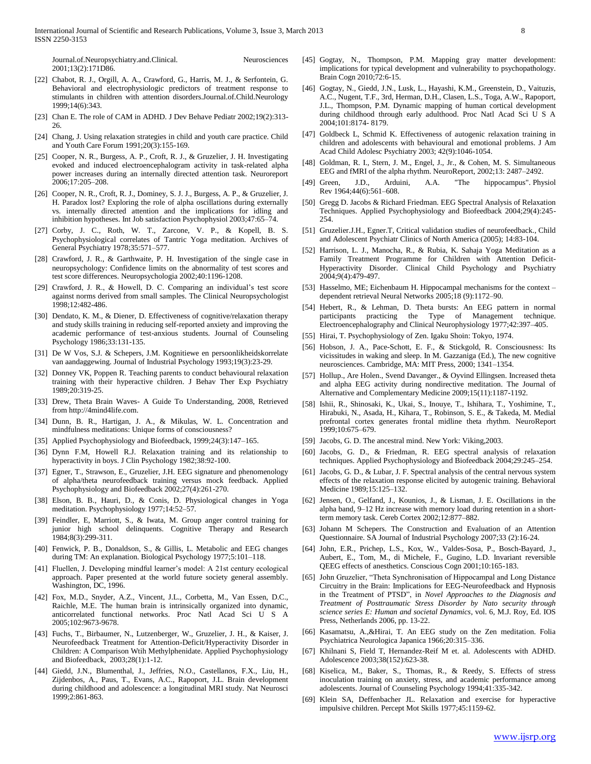Journal.of.Neuropsychiatry.and.Clinical. Neurosciences 2001;13(2):171D86.

- [22] Chabot, R. J., Orgill, A. A., Crawford, G., Harris, M. J., & Serfontein, G. Behavioral and electrophysiologic predictors of treatment response to stimulants in children with attention disorders.Journal.of.Child.Neurology 1999;14(6):343.
- [23] Chan E. The role of CAM in ADHD. J Dev Behave Pediatr 2002;19(2):313-26.
- [24] Chang, J. Using relaxation strategies in child and youth care practice. Child and Youth Care Forum 1991;20(3):155-169.
- [25] Cooper, N. R., Burgess, A. P., Croft, R. J., & Gruzelier, J. H. Investigating evoked and induced electroencephalogram activity in task-related alpha power increases during an internally directed attention task. Neuroreport 2006;17:205–208.
- [26] Cooper, N. R., Croft, R. J., Dominey, S. J. J., Burgess, A. P., & Gruzelier, J. H. Paradox lost? Exploring the role of alpha oscillations during externally vs. internally directed attention and the implications for idling and inhibition hypotheses. Int Job satisfaction Psychophysiol 2003;47:65–74.
- [27] Corby, J. C., Roth, W. T., Zarcone, V. P., & Kopell, B. S. Psychophysiological correlates of Tantric Yoga meditation. Archives of General Psychiatry 1978;35:571–577.
- [28] Crawford, J. R., & Garthwaite, P. H. Investigation of the single case in neuropsychology: Confidence limits on the abnormality of test scores and test score differences. Neuropsychologia 2002;40:1196-1208.
- [29] Crawford, J. R., & Howell, D. C. Comparing an individual's test score against norms derived from small samples. The Clinical Neuropsychologist 1998;12:482-486.
- [30] Dendato, K. M., & Diener, D. Effectiveness of cognitive/relaxation therapy and study skills training in reducing self-reported anxiety and improving the academic performance of test-anxious students. Journal of Counseling Psychology 1986;33:131-135.
- [31] De W Vos, S.J. & Schepers, J.M. Kognitiewe en persoonlikheidskorrelate van aandaggewing. Journal of Industrial Psychology 1993;19(3):23-29.
- [32] Donney VK, Poppen R. Teaching parents to conduct behavioural relaxation training with their hyperactive children. J Behav Ther Exp Psychiatry 1989;20:319-25.
- [33] Drew, Theta Brain Waves- A Guide To Understanding, 2008, Retrieved from http://4mind4life.com.
- [34] Dunn, B. R., Hartigan, J. A., & Mikulas, W. L. Concentration and mindfulness meditations: Unique forms of consciousness?
- [35] Applied Psychophysiology and Biofeedback, 1999;24(3):147–165.
- [36] Dynn F.M, Howell R.J. Relaxation training and its relationship to hyperactivity in boys. J Clin Psychology 1982;38:92-100.
- [37] Egner, T., Strawson, E., Gruzelier, J.H. EEG signature and phenomenology of alpha/theta neurofeedback training versus mock feedback. Applied Psychophysiology and Biofeedback 2002;27(4):261-270.
- [38] Elson, B. B., Hauri, D., & Conis, D. Physiological changes in Yoga meditation. Psychophysiology 1977;14:52–57.
- [39] Feindler, E, Marriott, S., & Iwata, M. Group anger control training for junior high school delinquents. Cognitive Therapy and Research 1984;8(3):299-311.
- [40] Fenwick, P. B., Donaldson, S., & Gillis, L. Metabolic and EEG changes during TM: An explanation. Biological Psychology 1977;5:101–118.
- [41] Fluellen, J. Developing mindful learner's model: A 21st century ecological approach. Paper presented at the world future society general assembly. Washington, DC, 1996.
- [42] Fox, M.D., Snyder, A.Z., Vincent, J.L., Corbetta, M., Van Essen, D.C., Raichle, M.E. The human brain is intrinsically organized into dynamic, anticorrelated functional networks. Proc Natl Acad Sci U S A 2005;102:9673-9678.
- [43] Fuchs, T., Birbaumer, N., Lutzenberger, W., Gruzelier, J. H., & Kaiser, J. Neurofeedback Treatment for Attention-Deficit/Hyperactivity Disorder in Children: A Comparison Wtih Methylphenidate. Applied Psychophysiology and Biofeedback, 2003;28(1):1-12.
- [44] Giedd, J.N., Blumenthal, J., Jeffries, N.O., Castellanos, F.X., Liu, H., Zijdenbos, A., Paus, T., Evans, A.C., Rapoport, J.L. Brain development during childhood and adolescence: a longitudinal MRI study. Nat Neurosci 1999;2:861-863.
- [45] Gogtay, N., Thompson, P.M. Mapping gray matter development: implications for typical development and vulnerability to psychopathology. Brain Cogn 2010;72:6-15.
- [46] Gogtay, N., Giedd, J.N., Lusk, L., Hayashi, K.M., Greenstein, D., Vaituzis, A.C., Nugent, T.F., 3rd, Herman, D.H., Clasen, L.S., Toga, A.W., Rapoport, J.L., Thompson, P.M. Dynamic mapping of human cortical development during childhood through early adulthood. Proc Natl Acad Sci U S A 2004;101:8174- 8179.
- [47] Goldbeck L, Schmid K. Effectiveness of autogenic relaxation training in children and adolescents with behavioural and emotional problems. J Am Acad Child Adolesc Psychiatry 2003; 42(9):1046-1054.
- [48] Goldman, R. I., Stern, J. M., Engel, J., Jr., & Cohen, M. S. Simultaneous EEG and fMRI of the alpha rhythm. NeuroReport, 2002;13: 2487–2492.
- [49] Green, J.D., Arduini, A.A. "The hippocampus". Physiol Rev 1964;44(6):561–608.
- [50] Gregg D. Jacobs & Richard Friedman. EEG Spectral Analysis of Relaxation Techniques. Applied Psychophysiology and Biofeedback 2004;29(4):245- 254.
- [51] Gruzelier.J.H., Egner.T, Critical validation studies of neurofeedback., Child and Adolescent Psychiatr Clinics of North America (2005); 14:83-104.
- [52] Harrison, L. J., Manocha, R., & Rubia, K. Sahaja Yoga Meditation as a Family Treatment Programme for Children with Attention Deficit-Hyperactivity Disorder. Clinical Child Psychology and Psychiatry 2004;9(4):479-497.
- [53] Hasselmo, ME; Eichenbaum H. Hippocampal mechanisms for the context dependent retrieval Neural Networks 2005;18 (9):1172–90.
- [54] Hebert, R., & Lehman, D. Theta bursts: An EEG pattern in normal participants practicing the Type of Management technique. Electroencephalography and Clinical Neurophysiology 1977;42:397–405.
- [55] Hirai, T. Psychophysiology of Zen. Igaku Shoin: Tokyo, 1974.
- [56] Hobson, J. A., Pace-Schott, E. F., & Stickgold, R. Consciousness: Its vicissitudes in waking and sleep. In M. Gazzaniga (Ed.), The new cognitive neurosciences. Cambridge, MA: MIT Press, 2000; 1341–1354.
- [57] Hollup., Are Holen., Svend Davanger., & Oyvind Ellingsen. Increased theta and alpha EEG activity during nondirective meditation. The Journal of Alternative and Complementary Medicine 2009;15(11):1187-1192.
- [58] Ishii, R., Shinosaki, K., Ukai, S., Inouye, T., Ishihara, T., Yoshimine, T., Hirabuki, N., Asada, H., Kihara, T., Robinson, S. E., & Takeda, M. Medial prefrontal cortex generates frontal midline theta rhythm. NeuroReport 1999;10:675–679.
- [59] Jacobs, G. D. The ancestral mind. New York: Viking,2003.
- [60] Jacobs, G. D., & Friedman, R. EEG spectral analysis of relaxation techniques. Applied Psychophysiology and Biofeedback 2004;29:245–254.
- [61] Jacobs, G. D., & Lubar, J. F. Spectral analysis of the central nervous system effects of the relaxation response elicited by autogenic training. Behavioral Medicine 1989;15:125–132.
- [62] Jensen, O., Gelfand, J., Kounios, J., & Lisman, J. E. Oscillations in the alpha band, 9–12 Hz increase with memory load during retention in a shortterm memory task. Cereb Cortex 2002;12:877–882.
- [63] Johann M Schepers. The Construction and Evaluation of an Attention Questionnaire. SA Journal of Industrial Psychology 2007;33 (2):16-24.
- [64] John, E.R., Prichep, L.S., Kox, W., Valdes-Sosa, P., Bosch-Bayard, J., Aubert, E., Tom, M., di Michele, F., Gugino, L.D. Invariant reversible QEEG effects of anesthetics. Conscious Cogn 2001;10:165-183.
- [65] John Gruzelier, "Theta Synchronisation of Hippocampal and Long Distance Circuitry in the Brain: Implications for EEG-Neurofeedback and Hypnosis in the Treatment of PTSD", in *Novel Approaches to the Diagnosis and Treatment of Posttraumatic Stress Disorder by Nato security through science series E: Human and societal Dynamics*, vol. 6, M.J. Roy, Ed. IOS Press, Netherlands 2006, pp. 13-22.
- [66] Kasamatsu, A.,&Hirai, T. An EEG study on the Zen meditation. Folia Psychiatrica Neurologica Japanica 1966;20:315–336.
- [67] Khilnani S, Field T, Hernandez-Reif M et. al. Adolescents with ADHD. Adolescence 2003;38(152):623-38.
- [68] Kiselica, M., Baker, S., Thomas, R., & Reedy, S. Effects of stress inoculation training on anxiety, stress, and academic performance among adolescents. Journal of Counseling Psychology 1994;41:335-342.
- [69] Klein SA, Deffenbacher JL. Relaxation and exercise for hyperactive impulsive children. Percept Mot Skills 1977;45:1159-62.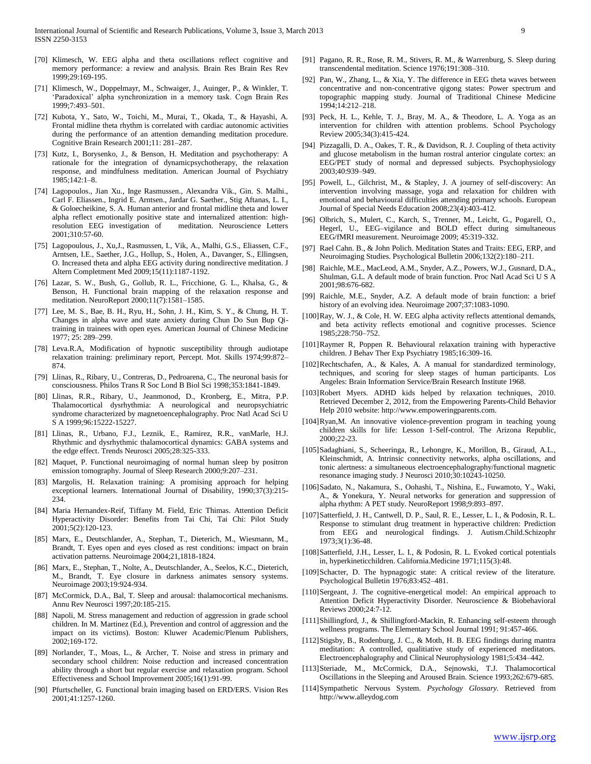- [91] Pagano, R. R., Rose, R. M., Stivers, R. M., & Warrenburg, S. Sleep during transcendental meditation. Science 1976;191:308–310.
- [70] Klimesch, W. EEG alpha and theta oscillations reflect cognitive and memory performance: a review and analysis. Brain Res Brain Res Rev 1999;29:169-195. [71] Klimesch, W., Doppelmayr, M., Schwaiger, J., Auinger, P., & Winkler, T.
- 'Paradoxical' alpha synchronization in a memory task. Cogn Brain Res 1999;7:493–501.
- [72] Kubota, Y., Sato, W., Toichi, M., Murai, T., Okada, T., & Hayashi, A. Frontal midline theta rhythm is correlated with cardiac autonomic activities during the performance of an attention demanding meditation procedure. Cognitive Brain Research 2001;11: 281–287.
- [73] Kutz, I., Borysenko, J., & Benson, H. Meditation and psychotherapy: A rationale for the integration of dynamicpsychotherapy, the relaxation response, and mindfulness meditation. American Journal of Psychiatry 1985;142:1–8.
- [74] Lagopoulos., Jian Xu., Inge Rasmussen., Alexandra Vik., Gin. S. Malhi., Carl F. Eliassen., Ingrid E. Arntsen., Jardar G. Saether., Stig Aftanas, L. I., & Goloecheikine, S. A. Human anterior and frontal midline theta and lower alpha reflect emotionally positive state and internalized attention: highresolution EEG investigation of meditation. Neuroscience Letters 2001;310:57-60.
- [75] Lagopoulous, J., Xu,J., Rasmussen, I., Vik, A., Malhi, G.S., Eliassen, C.F., Arntsen, I.E., Saether, J.G., Hollup, S., Holen, A., Davanger, S., Ellingsen, O. Increased theta and alpha EEG activity during nondirective meditation. J Altern Completment Med 2009;15(11):1187-1192.
- [76] Lazar, S. W., Bush, G., Gollub, R. L., Fricchione, G. L., Khalsa, G., & Benson, H. Functional brain mapping of the relaxation response and meditation. NeuroReport 2000;11(7):1581–1585.
- [77] Lee, M. S., Bae, B. H., Ryu, H., Sohn, J. H., Kim, S. Y., & Chung, H. T. Changes in alpha wave and state anxiety during Chun Do Sun Bup Qitraining in trainees with open eyes. American Journal of Chinese Medicine 1977; 25: 289–299.
- [78] Leva.R.A, Modification of hypnotic susceptibility through audiotape relaxation training: preliminary report, Percept. Mot. Skills 1974;99:872– 874.
- [79] Llinas, R., Ribary, U., Contreras, D., Pedroarena, C., The neuronal basis for consciousness. Philos Trans R Soc Lond B Biol Sci 1998;353:1841-1849.
- [80] Llinas, R.R., Ribary, U., Jeanmonod, D., Kronberg, E., Mitra, P.P. Thalamocortical dysrhythmia: A neurological and neuropsychiatric syndrome characterized by magnetoencephalography. Proc Natl Acad Sci U S A 1999;96:15222-15227.
- [81] Llinas, R., Urbano, F.J., Leznik, E., Ramirez, R.R., vanMarle, H.J. Rhythmic and dysrhythmic thalamocortical dynamics: GABA systems and the edge effect. Trends Neurosci 2005;28:325-333.
- [82] Maquet, P. Functional neuroimaging of normal human sleep by positron emission tomography. Journal of Sleep Research 2000;9:207–231.
- [83] Margolis, H. Relaxation training: A promising approach for helping exceptional learners. International Journal of Disability, 1990;37(3):215- 234.
- [84] Maria Hernandex-Reif, Tiffany M. Field, Eric Thimas. Attention Deficit Hyperactivity Disorder: Benefits from Tai Chi, Tai Chi: Pilot Study 2001;5(2):120-123.
- [85] Marx, E., Deutschlander, A., Stephan, T., Dieterich, M., Wiesmann, M., Brandt, T. Eyes open and eyes closed as rest conditions: impact on brain activation patterns. Neuroimage 2004;21,1818-1824.
- [86] Marx, E., Stephan, T., Nolte, A., Deutschlander, A., Seelos, K.C., Dieterich, M., Brandt, T. Eye closure in darkness animates sensory systems. Neuroimage 2003;19:924-934.
- [87] McCormick, D.A., Bal, T. Sleep and arousal: thalamocortical mechanisms. Annu Rev Neurosci 1997;20:185-215.
- [88] Napoli, M. Stress management and reduction of aggression in grade school children. In M. Martinez (Ed.), Prevention and control of aggression and the impact on its victims). Boston: Kluwer Academic/Plenum Publishers, 2002;169-172.
- [89] Norlander, T., Moas, L., & Archer, T. Noise and stress in primary and secondary school children: Noise reduction and increased concentration ability through a short but regular exercise and relaxation program. School Effectiveness and School Improvement 2005;16(1):91-99.
- [90] Pfurtscheller, G. Functional brain imaging based on ERD/ERS. Vision Res 2001;41:1257-1260.
- [92] Pan, W., Zhang, L., & Xia, Y. The difference in EEG theta waves between concentrative and non-concentrative qigong states: Power spectrum and topographic mapping study. Journal of Traditional Chinese Medicine 1994;14:212–218.
- [93] Peck, H. L., Kehle, T. J., Bray, M. A., & Theodore, L. A. Yoga as an intervention for children with attention problems. School Psychology Review 2005;34(3):415-424.
- [94] Pizzagalli, D. A., Oakes, T. R., & Davidson, R. J. Coupling of theta activity and glucose metabolism in the human rostral anterior cingulate cortex: an EEG/PET study of normal and depressed subjects. Psychophysiology 2003;40:939–949.
- [95] Powell, L., Gilchrist, M., & Stapley, J. A journey of self-discovery: An intervention involving massage, yoga and relaxation for children with emotional and behavioural difficulties attending primary schools. European Journal of Special Needs Education 2008;23(4):403-412.
- [96] Olbrich, S., Mulert, C., Karch, S., Trenner, M., Leicht, G., Pogarell, O., Hegerl, U., EEG–vigilance and BOLD effect during simultaneous EEG/fMRI measurement. Neuroimage 2009; 45:319-332.
- [97] Rael Cahn. B., & John Polich. Meditation States and Traits: EEG, ERP, and Neuroimaging Studies. Psychological Bulletin 2006;132(2):180–211.
- [98] Raichle, M.E., MacLeod, A.M., Snyder, A.Z., Powers, W.J., Gusnard, D.A., Shulman, G.L. A default mode of brain function. Proc Natl Acad Sci U S A 2001;98:676-682.
- [99] Raichle, M.E., Snyder, A.Z. A default mode of brain function: a brief history of an evolving idea. Neuroimage 2007;37:1083-1090.
- [100]Ray, W. J., & Cole, H. W. EEG alpha activity reflects attentional demands, and beta activity reflects emotional and cognitive processes. Science 1985;228:750–752.
- [101]Raymer R, Poppen R. Behavioural relaxation training with hyperactive children. J Behav Ther Exp Psychiatry 1985;16:309-16.
- [102]Rechtschafen, A., & Kales, A. A manual for standardized terminology, techniques, and scoring for sleep stages of human participants. Los Angeles: Brain Information Service/Brain Research Institute 1968.
- [103]Robert Myers. ADHD kids helped by relaxation techniques, 2010. Retrieved December 2, 2012, from the Empowering Parents-Child Behavior Help 2010 website: http://www.empoweringparents.com.
- [104]Ryan,M. An innovative violence-prevention program in teaching young children skills for life: Lesson 1-Self-control. The Arizona Republic, 2000;22-23.
- [105]Sadaghiani, S., Scheeringa, R., Lehongre, K., Morillon, B., Giraud, A.L., Kleinschmidt, A. Intrinsic connectivity networks, alpha oscillations, and tonic alertness: a simultaneous electroencephalography/functional magnetic resonance imaging study. J Neurosci 2010;30:10243-10250.
- [106]Sadato, N., Nakamura, S., Oohashi, T., Nishina, E., Fuwamoto, Y., Waki, A., & Yonekura, Y. Neural networks for generation and suppression of alpha rhythm: A PET study. NeuroReport 1998;9:893–897.
- [107]Satterfield, J. H., Cantwell, D. P., Saul, R. E., Lesser, L. I., & Podosin, R. L. Response to stimulant drug treatment in hyperactive children: Prediction from EEG and neurological findings. J. Autism.Child.Schizophr 1973;3(1):36-48.
- [108]Satterfield, J.H., Lesser, L. I., & Podosin, R. L. Evoked cortical potentials in, hyperkineticchildren. California.Medicine 1971;115(3):48.
- [109]Schacter, D. The hypnagogic state: A critical review of the literature. Psychological Bulletin 1976;83:452–481.
- [110]Sergeant, J. The cognitive-energetical model: An empirical approach to Attention Deficit Hyperactivity Disorder. Neuroscience & Biobehavioral Reviews 2000;24:7-12.
- [111]Shillingford, J., & Shillingford-Mackin, R. Enhancing self-esteem through wellness programs. The Elementary School Journal 1991; 91:457-466.
- [112]Stigsby, B., Rodenburg, J. C., & Moth, H. B. EEG findings during mantra meditation: A controlled, qualitiative study of experienced meditators. Electroencephalography and Clinical Neurophysiology 1981;5:434–442.
- [113]Steriade, M., McCormick, D.A., Sejnowski, T.J. Thalamocortical Oscillations in the Sleeping and Aroused Brain. Science 1993;262:679-685.
- [114]Sympathetic Nervous System. *Psychology Glossary.* Retrieved from http://www.alleydog.com